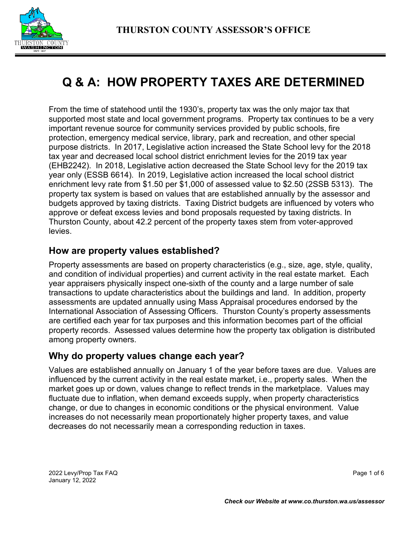# **Q & A: HOW PROPERTY TAXES ARE DETERMINED**

From the time of statehood until the 1930's, property tax was the only major tax that supported most state and local government programs. Property tax continues to be a very important revenue source for community services provided by public schools, fire protection, emergency medical service, library, park and recreation, and other special purpose districts. In 2017, Legislative action increased the State School levy for the 2018 tax year and decreased local school district enrichment levies for the 2019 tax year (EHB2242). In 2018, Legislative action decreased the State School levy for the 2019 tax year only (ESSB 6614). In 2019, Legislative action increased the local school district enrichment levy rate from \$1.50 per \$1,000 of assessed value to \$2.50 (2SSB 5313). The property tax system is based on values that are established annually by the assessor and budgets approved by taxing districts. Taxing District budgets are influenced by voters who approve or defeat excess levies and bond proposals requested by taxing districts. In Thurston County, about 42.2 percent of the property taxes stem from voter-approved levies.

# **How are property values established?**

Property assessments are based on property characteristics (e.g., size, age, style, quality, and condition of individual properties) and current activity in the real estate market. Each year appraisers physically inspect one-sixth of the county and a large number of sale transactions to update characteristics about the buildings and land. In addition, property assessments are updated annually using Mass Appraisal procedures endorsed by the International Association of Assessing Officers. Thurston County's property assessments are certified each year for tax purposes and this information becomes part of the official property records. Assessed values determine how the property tax obligation is distributed among property owners.

# **Why do property values change each year?**

Values are established annually on January 1 of the year before taxes are due. Values are influenced by the current activity in the real estate market, i.e., property sales. When the market goes up or down, values change to reflect trends in the marketplace. Values may fluctuate due to inflation, when demand exceeds supply, when property characteristics change, or due to changes in economic conditions or the physical environment. Value increases do not necessarily mean proportionately higher property taxes, and value decreases do not necessarily mean a corresponding reduction in taxes.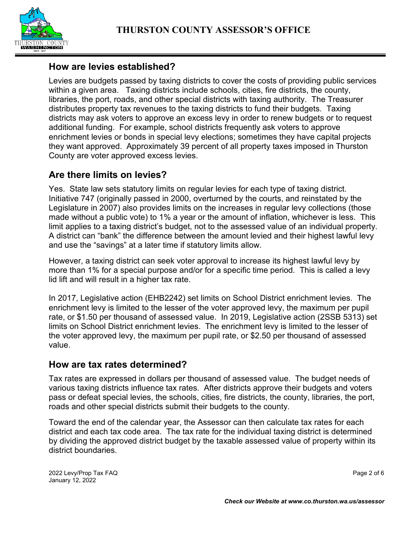

# **How are levies established?**

Levies are budgets passed by taxing districts to cover the costs of providing public services within a given area. Taxing districts include schools, cities, fire districts, the county, libraries, the port, roads, and other special districts with taxing authority. The Treasurer distributes property tax revenues to the taxing districts to fund their budgets. Taxing districts may ask voters to approve an excess levy in order to renew budgets or to request additional funding. For example, school districts frequently ask voters to approve enrichment levies or bonds in special levy elections; sometimes they have capital projects they want approved. Approximately 39 percent of all property taxes imposed in Thurston County are voter approved excess levies.

# **Are there limits on levies?**

Yes. State law sets statutory limits on regular levies for each type of taxing district. Initiative 747 (originally passed in 2000, overturned by the courts, and reinstated by the Legislature in 2007) also provides limits on the increases in regular levy collections (those made without a public vote) to 1% a year or the amount of inflation, whichever is less. This limit applies to a taxing district's budget, not to the assessed value of an individual property. A district can "bank" the difference between the amount levied and their highest lawful levy and use the "savings" at a later time if statutory limits allow.

However, a taxing district can seek voter approval to increase its highest lawful levy by more than 1% for a special purpose and/or for a specific time period. This is called a levy lid lift and will result in a higher tax rate.

In 2017, Legislative action (EHB2242) set limits on School District enrichment levies. The enrichment levy is limited to the lesser of the voter approved levy, the maximum per pupil rate, or \$1.50 per thousand of assessed value. In 2019, Legislative action (2SSB 5313) set limits on School District enrichment levies. The enrichment levy is limited to the lesser of the voter approved levy, the maximum per pupil rate, or \$2.50 per thousand of assessed value.

## **How are tax rates determined?**

Tax rates are expressed in dollars per thousand of assessed value. The budget needs of various taxing districts influence tax rates. After districts approve their budgets and voters pass or defeat special levies, the schools, cities, fire districts, the county, libraries, the port, roads and other special districts submit their budgets to the county.

Toward the end of the calendar year, the Assessor can then calculate tax rates for each district and each tax code area. The tax rate for the individual taxing district is determined by dividing the approved district budget by the taxable assessed value of property within its district boundaries.

2022 Levy/Prop Tax FAQ Page 2 of 6 January 12, 2022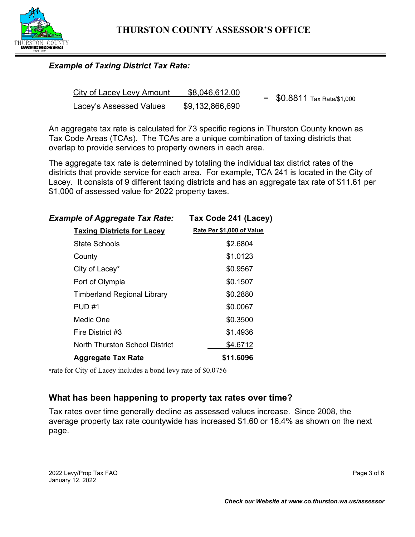

#### *Example of Taxing District Tax Rate:*

| City of Lacey Levy Amount | \$8,046,612.00  | $=$ \$0.8811 Tax Rate/\$1,000 |  |
|---------------------------|-----------------|-------------------------------|--|
| Lacey's Assessed Values   | \$9,132,866,690 |                               |  |

An aggregate tax rate is calculated for 73 specific regions in Thurston County known as Tax Code Areas (TCAs). The TCAs are a unique combination of taxing districts that overlap to provide services to property owners in each area.

The aggregate tax rate is determined by totaling the individual tax district rates of the districts that provide service for each area. For example, TCA 241 is located in the City of Lacey. It consists of 9 different taxing districts and has an aggregate tax rate of \$11.61 per \$1,000 of assessed value for 2022 property taxes.

| <b>Example of Aggregate Tax Rate:</b> | Tax Code 241 (Lacey)      |  |
|---------------------------------------|---------------------------|--|
| <b>Taxing Districts for Lacey</b>     | Rate Per \$1,000 of Value |  |
| State Schools                         | \$2.6804                  |  |
| County                                | \$1.0123                  |  |
| City of Lacey*                        | \$0.9567                  |  |
| Port of Olympia                       | \$0.1507                  |  |
| <b>Timberland Regional Library</b>    | \$0.2880                  |  |
| <b>PUD#1</b>                          | \$0.0067                  |  |
| Medic One                             | \$0.3500                  |  |
| Fire District #3                      | \$1.4936                  |  |
| <b>North Thurston School District</b> | \$4.6712                  |  |
| <b>Aggregate Tax Rate</b>             | \$11.6096                 |  |
|                                       |                           |  |

\*rate for City of Lacey includes a bond levy rate of \$0.0756

## **What has been happening to property tax rates over time?**

Tax rates over time generally decline as assessed values increase. Since 2008, the average property tax rate countywide has increased \$1.60 or 16.4% as shown on the next page.

2022 Levy/Prop Tax FAQ **Page 3 of 6** January 12, 2022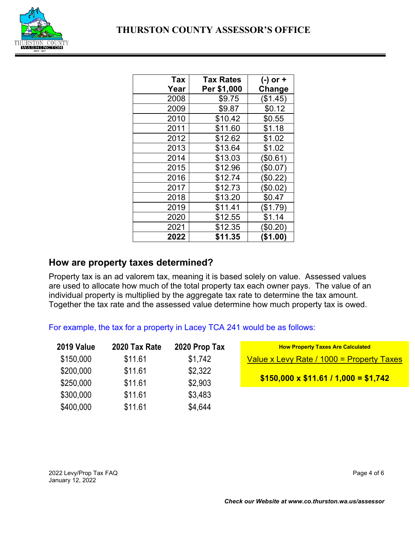

| Tax  | Tax Rates   | (-) or + |
|------|-------------|----------|
| Year | Per \$1,000 | Change   |
| 2008 | \$9.75      | (\$1.45) |
| 2009 | \$9.87      | \$0.12   |
| 2010 | \$10.42     | \$0.55   |
| 2011 | \$11.60     | \$1.18   |
| 2012 | \$12.62     | \$1.02   |
| 2013 | \$13.64     | \$1.02   |
| 2014 | \$13.03     | \$0.61)  |
| 2015 | \$12.96     | \$0.07)  |
| 2016 | \$12.74     | (\$0.22) |
| 2017 | \$12.73     | (\$0.02) |
| 2018 | \$13.20     | \$0.47   |
| 2019 | \$11.41     | (\$1.79) |
| 2020 | \$12.55     | \$1.14   |
| 2021 | \$12.35     | \$0.20)  |
| 2022 | \$11.35     | (\$1.00) |

## **How are property taxes determined?**

Property tax is an ad valorem tax, meaning it is based solely on value. Assessed values are used to allocate how much of the total property tax each owner pays. The value of an individual property is multiplied by the aggregate tax rate to determine the tax amount. Together the tax rate and the assessed value determine how much property tax is owed.

For example, the tax for a property in Lacey TCA 241 would be as follows:

| <b>2019 Value</b> | 2020 Tax Rate | 2020 Prop Tax | <b>How Property Taxes Are Calculated</b>  |
|-------------------|---------------|---------------|-------------------------------------------|
| \$150,000         | \$11.61       | \$1,742       | Value x Levy Rate / 1000 = Property Taxes |
| \$200,000         | \$11.61       | \$2,322       |                                           |
| \$250,000         | \$11.61       | \$2,903       | $$150,000 \times $11.61 / 1,000 = $1,742$ |
| \$300,000         | \$11.61       | \$3,483       |                                           |
| \$400,000         | \$11.61       | \$4,644       |                                           |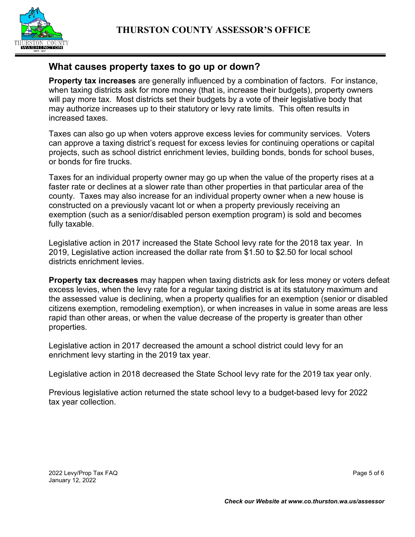

## **What causes property taxes to go up or down?**

**Property tax increases** are generally influenced by a combination of factors. For instance, when taxing districts ask for more money (that is, increase their budgets), property owners will pay more tax. Most districts set their budgets by a vote of their legislative body that may authorize increases up to their statutory or levy rate limits. This often results in increased taxes.

Taxes can also go up when voters approve excess levies for community services. Voters can approve a taxing district's request for excess levies for continuing operations or capital projects, such as school district enrichment levies, building bonds, bonds for school buses, or bonds for fire trucks.

Taxes for an individual property owner may go up when the value of the property rises at a faster rate or declines at a slower rate than other properties in that particular area of the county. Taxes may also increase for an individual property owner when a new house is constructed on a previously vacant lot or when a property previously receiving an exemption (such as a senior/disabled person exemption program) is sold and becomes fully taxable.

Legislative action in 2017 increased the State School levy rate for the 2018 tax year. In 2019, Legislative action increased the dollar rate from \$1.50 to \$2.50 for local school districts enrichment levies.

**Property tax decreases** may happen when taxing districts ask for less money or voters defeat excess levies, when the levy rate for a regular taxing district is at its statutory maximum and the assessed value is declining, when a property qualifies for an exemption (senior or disabled citizens exemption, remodeling exemption), or when increases in value in some areas are less rapid than other areas, or when the value decrease of the property is greater than other properties.

Legislative action in 2017 decreased the amount a school district could levy for an enrichment levy starting in the 2019 tax year.

Legislative action in 2018 decreased the State School levy rate for the 2019 tax year only.

Previous legislative action returned the state school levy to a budget-based levy for 2022 tax year collection.